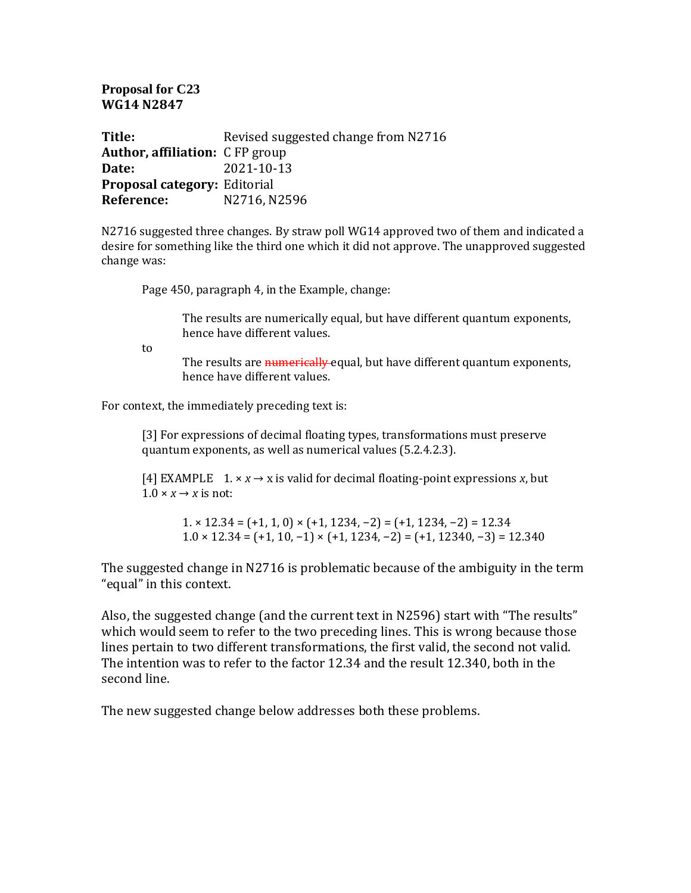**Proposal for C23 WG14 N2847**

**Title:** Revised suggested change from N2716 **Author, affiliation:** C FP group **Date:** 2021-10-13 **Proposal category:** Editorial **Reference:** N2716, N2596

N2716 suggested three changes. By straw poll WG14 approved two of them and indicated a desire for something like the third one which it did not approve. The unapproved suggested change was:

Page 450, paragraph 4, in the Example, change:

The results are numerically equal, but have different quantum exponents, hence have different values.

to

The results are numerically equal, but have different quantum exponents, hence have different values.

For context, the immediately preceding text is:

[3] For expressions of decimal floating types, transformations must preserve quantum exponents, as well as numerical values (5.2.4.2.3).

[4] EXAMPLE  $1. \times x \rightarrow x$  is valid for decimal floating-point expressions *x*, but  $1.0 \times x \rightarrow x$  is not:

1. × 12.34 = (+1, 1, 0) × (+1, 1234, −2) = (+1, 1234, −2) = 12.34  $1.0 \times 12.34 = (+1, 10, -1) \times (+1, 1234, -2) = (+1, 12340, -3) = 12.340$ 

The suggested change in N2716 is problematic because of the ambiguity in the term "equal" in this context.

Also, the suggested change (and the current text in N2596) start with "The results" which would seem to refer to the two preceding lines. This is wrong because those lines pertain to two different transformations, the first valid, the second not valid. The intention was to refer to the factor 12.34 and the result 12.340, both in the second line.

The new suggested change below addresses both these problems.